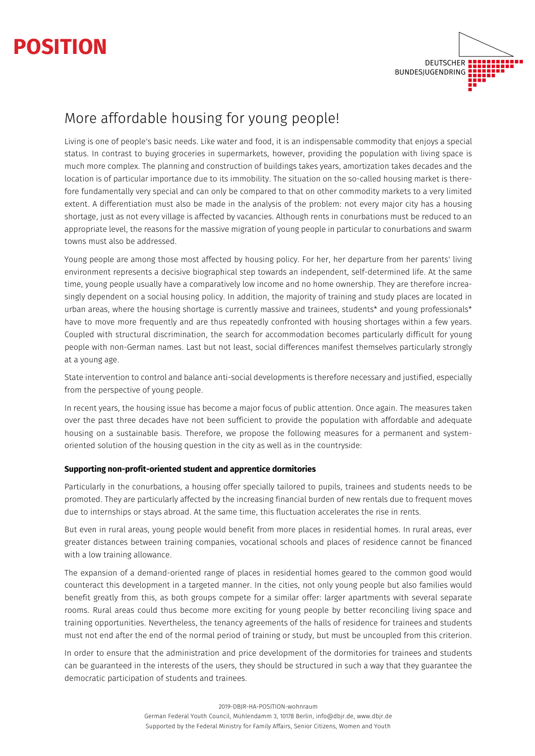



# More affordable housing for young people!

Living is one of people's basic needs. Like water and food, it is an indispensable commodity that enjoys a special status. In contrast to buying groceries in supermarkets, however, providing the population with living space is much more complex. The planning and construction of buildings takes years, amortization takes decades and the location is of particular importance due to its immobility. The situation on the so-called housing market is therefore fundamentally very special and can only be compared to that on other commodity markets to a very limited extent. A differentiation must also be made in the analysis of the problem: not every major city has a housing shortage, just as not every village is affected by vacancies. Although rents in conurbations must be reduced to an appropriate level, the reasons for the massive migration of young people in particular to conurbations and swarm towns must also be addressed.

Young people are among those most affected by housing policy. For her, her departure from her parents' living environment represents a decisive biographical step towards an independent, self-determined life. At the same time, young people usually have a comparatively low income and no home ownership. They are therefore increasingly dependent on a social housing policy. In addition, the majority of training and study places are located in urban areas, where the housing shortage is currently massive and trainees, students\* and young professionals\* have to move more frequently and are thus repeatedly confronted with housing shortages within a few years. Coupled with structural discrimination, the search for accommodation becomes particularly difficult for young people with non-German names. Last but not least, social differences manifest themselves particularly strongly at a young age.

State intervention to control and balance anti-social developments is therefore necessary and justified, especially from the perspective of young people.

In recent years, the housing issue has become a major focus of public attention. Once again. The measures taken over the past three decades have not been sufficient to provide the population with affordable and adequate housing on a sustainable basis. Therefore, we propose the following measures for a permanent and systemoriented solution of the housing question in the city as well as in the countryside:

## **Supporting non-profit-oriented student and apprentice dormitories**

Particularly in the conurbations, a housing offer specially tailored to pupils, trainees and students needs to be promoted. They are particularly affected by the increasing financial burden of new rentals due to frequent moves due to internships or stays abroad. At the same time, this fluctuation accelerates the rise in rents.

But even in rural areas, young people would benefit from more places in residential homes. In rural areas, ever greater distances between training companies, vocational schools and places of residence cannot be financed with a low training allowance.

The expansion of a demand-oriented range of places in residential homes geared to the common good would counteract this development in a targeted manner. In the cities, not only young people but also families would benefit greatly from this, as both groups compete for a similar offer: larger apartments with several separate rooms. Rural areas could thus become more exciting for young people by better reconciling living space and training opportunities. Nevertheless, the tenancy agreements of the halls of residence for trainees and students must not end after the end of the normal period of training or study, but must be uncoupled from this criterion.

In order to ensure that the administration and price development of the dormitories for trainees and students can be guaranteed in the interests of the users, they should be structured in such a way that they guarantee the democratic participation of students and trainees.

2019-DBJR-HA-POSITION-wohnraum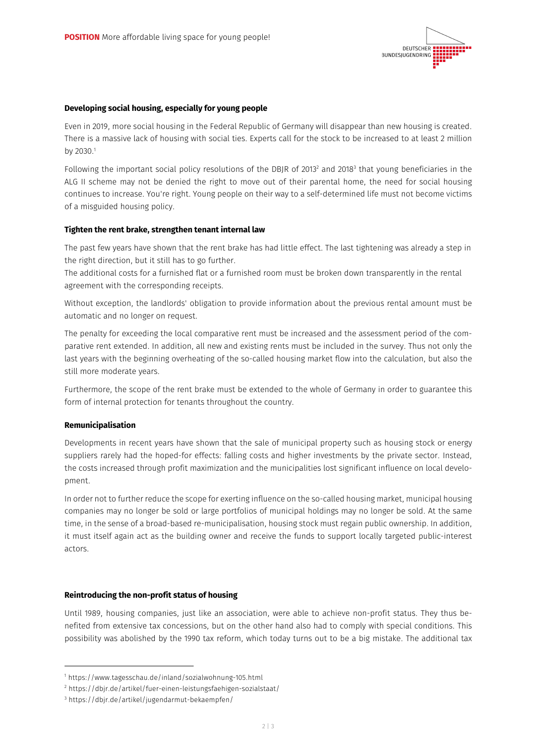

## **Developing social housing, especially for young people**

Even in 2019, more social housing in the Federal Republic of Germany will disappear than new housing is created. There is a massive lack of housing with social ties. Experts call for the stock to be increased to at least 2 million by 2030.<sup>1</sup>

Following the important social policy resolutions of the DBJR of 2013<sup>2</sup> and 2018<sup>3</sup> that young beneficiaries in the ALG II scheme may not be denied the right to move out of their parental home, the need for social housing continues to increase. You're right. Young people on their way to a self-determined life must not become victims of a misguided housing policy.

## **Tighten the rent brake, strengthen tenant internal law**

The past few years have shown that the rent brake has had little effect. The last tightening was already a step in the right direction, but it still has to go further.

The additional costs for a furnished flat or a furnished room must be broken down transparently in the rental agreement with the corresponding receipts.

Without exception, the landlords' obligation to provide information about the previous rental amount must be automatic and no longer on request.

The penalty for exceeding the local comparative rent must be increased and the assessment period of the comparative rent extended. In addition, all new and existing rents must be included in the survey. Thus not only the last years with the beginning overheating of the so-called housing market flow into the calculation, but also the still more moderate years.

Furthermore, the scope of the rent brake must be extended to the whole of Germany in order to guarantee this form of internal protection for tenants throughout the country.

#### **Remunicipalisation**

Developments in recent years have shown that the sale of municipal property such as housing stock or energy suppliers rarely had the hoped-for effects: falling costs and higher investments by the private sector. Instead, the costs increased through profit maximization and the municipalities lost significant influence on local development.

In order not to further reduce the scope for exerting influence on the so-called housing market, municipal housing companies may no longer be sold or large portfolios of municipal holdings may no longer be sold. At the same time, in the sense of a broad-based re-municipalisation, housing stock must regain public ownership. In addition, it must itself again act as the building owner and receive the funds to support locally targeted public-interest actors.

## **Reintroducing the non-profit status of housing**

Until 1989, housing companies, just like an association, were able to achieve non-profit status. They thus benefited from extensive tax concessions, but on the other hand also had to comply with special conditions. This possibility was abolished by the 1990 tax reform, which today turns out to be a big mistake. The additional tax

<sup>1</sup> https://www.tagesschau.de/inland/sozialwohnung-105.html

<sup>2</sup> https://dbjr.de/artikel/fuer-einen-leistungsfaehigen-sozialstaat/

<sup>3</sup> https://dbjr.de/artikel/jugendarmut-bekaempfen/